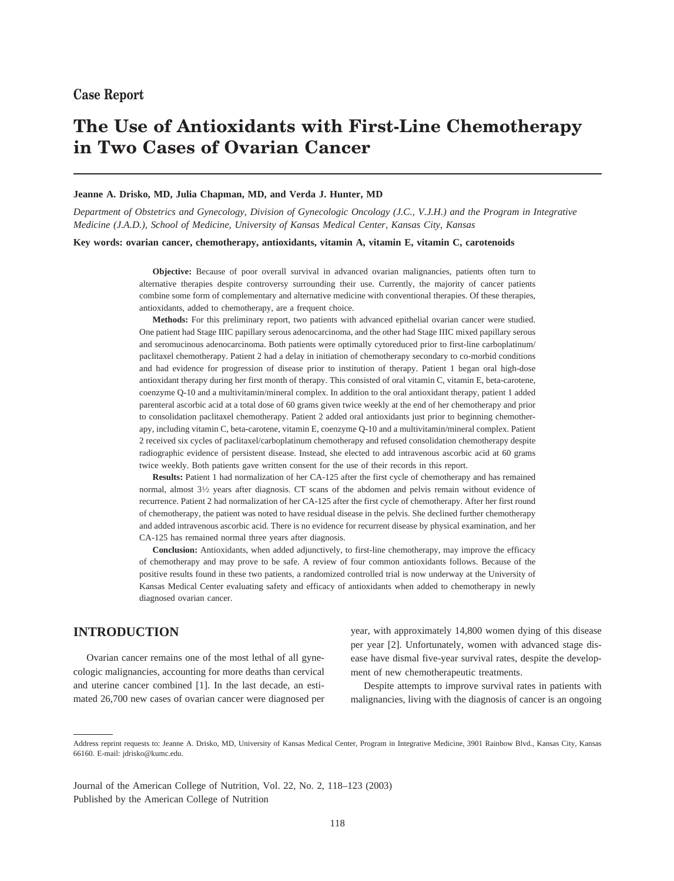# **The Use of Antioxidants with First-Line Chemotherapy in Two Cases of Ovarian Cancer**

#### **Jeanne A. Drisko, MD, Julia Chapman, MD, and Verda J. Hunter, MD**

*Department of Obstetrics and Gynecology, Division of Gynecologic Oncology (J.C., V.J.H.) and the Program in Integrative Medicine (J.A.D.), School of Medicine, University of Kansas Medical Center, Kansas City, Kansas*

**Key words: ovarian cancer, chemotherapy, antioxidants, vitamin A, vitamin E, vitamin C, carotenoids**

**Objective:** Because of poor overall survival in advanced ovarian malignancies, patients often turn to alternative therapies despite controversy surrounding their use. Currently, the majority of cancer patients combine some form of complementary and alternative medicine with conventional therapies. Of these therapies, antioxidants, added to chemotherapy, are a frequent choice.

**Methods:** For this preliminary report, two patients with advanced epithelial ovarian cancer were studied. One patient had Stage IIIC papillary serous adenocarcinoma, and the other had Stage IIIC mixed papillary serous and seromucinous adenocarcinoma. Both patients were optimally cytoreduced prior to first-line carboplatinum/ paclitaxel chemotherapy. Patient 2 had a delay in initiation of chemotherapy secondary to co-morbid conditions and had evidence for progression of disease prior to institution of therapy. Patient 1 began oral high-dose antioxidant therapy during her first month of therapy. This consisted of oral vitamin C, vitamin E, beta-carotene, coenzyme Q-10 and a multivitamin/mineral complex. In addition to the oral antioxidant therapy, patient 1 added parenteral ascorbic acid at a total dose of 60 grams given twice weekly at the end of her chemotherapy and prior to consolidation paclitaxel chemotherapy. Patient 2 added oral antioxidants just prior to beginning chemotherapy, including vitamin C, beta-carotene, vitamin E, coenzyme Q-10 and a multivitamin/mineral complex. Patient 2 received six cycles of paclitaxel/carboplatinum chemotherapy and refused consolidation chemotherapy despite radiographic evidence of persistent disease. Instead, she elected to add intravenous ascorbic acid at 60 grams twice weekly. Both patients gave written consent for the use of their records in this report.

**Results:** Patient 1 had normalization of her CA-125 after the first cycle of chemotherapy and has remained normal, almost  $3\frac{1}{2}$  years after diagnosis. CT scans of the abdomen and pelvis remain without evidence of recurrence. Patient 2 had normalization of her CA-125 after the first cycle of chemotherapy. After her first round of chemotherapy, the patient was noted to have residual disease in the pelvis. She declined further chemotherapy and added intravenous ascorbic acid. There is no evidence for recurrent disease by physical examination, and her CA-125 has remained normal three years after diagnosis.

**Conclusion:** Antioxidants, when added adjunctively, to first-line chemotherapy, may improve the efficacy of chemotherapy and may prove to be safe. A review of four common antioxidants follows. Because of the positive results found in these two patients, a randomized controlled trial is now underway at the University of Kansas Medical Center evaluating safety and efficacy of antioxidants when added to chemotherapy in newly diagnosed ovarian cancer.

# **INTRODUCTION**

Ovarian cancer remains one of the most lethal of all gynecologic malignancies, accounting for more deaths than cervical and uterine cancer combined [1]. In the last decade, an estimated 26,700 new cases of ovarian cancer were diagnosed per year, with approximately 14,800 women dying of this disease per year [2]. Unfortunately, women with advanced stage disease have dismal five-year survival rates, despite the development of new chemotherapeutic treatments.

Despite attempts to improve survival rates in patients with malignancies, living with the diagnosis of cancer is an ongoing

Journal of the American College of Nutrition, Vol. 22, No. 2, 118–123 (2003) Published by the American College of Nutrition

Address reprint requests to: Jeanne A. Drisko, MD, University of Kansas Medical Center, Program in Integrative Medicine, 3901 Rainbow Blvd., Kansas City, Kansas 66160. E-mail: jdrisko@kumc.edu.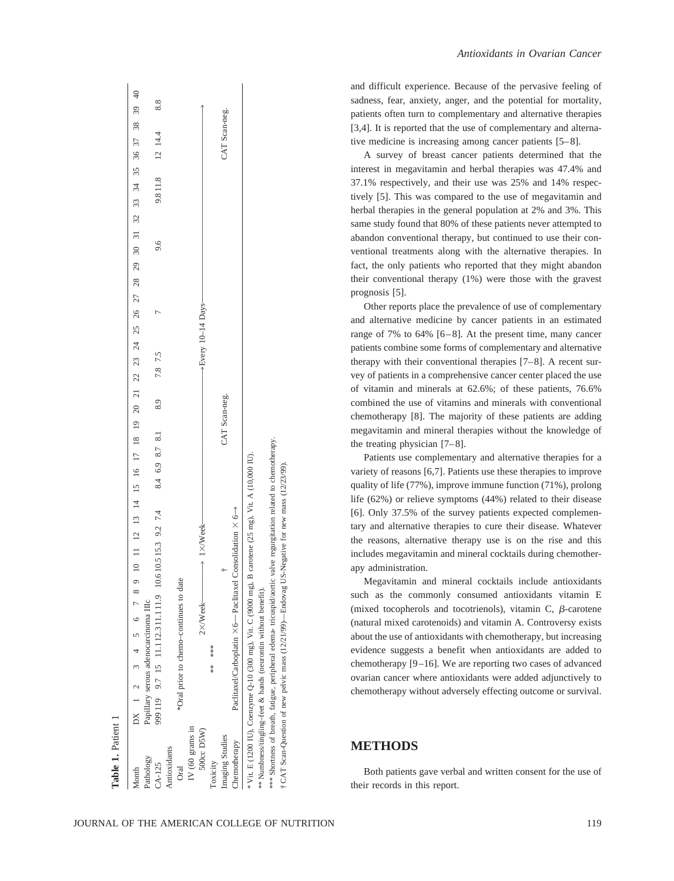| Month               | 9 10 11 12 13 14 15 16 17 18 19 20 21 22 23 24 25 26 27 28 29 30 31 32 33 34 35 36 37 38 39 40<br>DX 1 2 3 4 5 6 7 8 |                 |     |
|---------------------|----------------------------------------------------------------------------------------------------------------------|-----------------|-----|
| Pathology           | Papillary serous adenocarcinoma IIIc                                                                                 |                 |     |
| CA-125              | 9.6<br>7.8 7.5<br>8.9<br>8.4 6.9 8.7 8.1<br>10.610.515.3 9.2 7.4<br>999 119 9.7 15 11.1 12.3 11.1 11.9               | 9.811.8 12 14.4 | 8.8 |
| Antioxidants        |                                                                                                                      |                 |     |
| Oral                | *Oral prior to chemo-continues to date                                                                               |                 |     |
| IV (60 grams in     |                                                                                                                      |                 |     |
| 500cc D5W)          | →Every 10-14 Days-<br>$\longrightarrow$ 1×/Week<br>$2\times$ /Week $-$                                               |                 |     |
| Toxicity            | ***<br>*                                                                                                             |                 |     |
| Imaging Studies     | CAT Scan-neg.                                                                                                        | CAT Scan-neg.   |     |
| <b>Themotherapy</b> | Paclitaxel/Carboplatin $\times$ 6— Paclitaxel Consolidation $\times$ 6 $\rightarrow$                                 |                 |     |
|                     | * Vit. E (1200 IU), Coenzyme Q-10 (300 mg), Vit. C (9000 mg), B carotene (25 mg), Vit. A (10,000 IU).                |                 |     |
|                     | ** Numbness/tingling-feet & hands (neurontin without benefit).                                                       |                 |     |
|                     | **** Shortness of breath, fatigue, peripheral edema- tricuspid/aortic valve regurgitation related to chemotherapy.   |                 |     |
|                     | f CAT Scan-Question of new pelvic mass (12/21/99)—Endovag US-Negative for new mass (12/23/99).                       |                 |     |

 $\mathbf{I}$ 

Both patients gave verbal and written consent for the use of their records in this report.

**METHODS**

and difficult experience. Because of the pervasive feeling of sadness, fear, anxiety, anger, and the potential for mortality, patients often turn to complementary and alternative therapies [3,4]. It is reported that the use of complementary and alternative medicine is increasing among cancer patients [5–8].

A survey of breast cancer patients determined that the interest in megavitamin and herbal therapies was 47.4% and 37.1% respectively, and their use was 25% and 14% respectively [5]. This was compared to the use of megavitamin and herbal therapies in the general population at 2% and 3%. This same study found that 80% of these patients never attempted to abandon conventional therapy, but continued to use their conventional treatments along with the alternative therapies. In fact, the only patients who reported that they might abandon their conventional therapy (1%) were those with the gravest prognosis [5].

Other reports place the prevalence of use of complementary and alternative medicine by cancer patients in an estimated range of 7% to 64% [6–8]. At the present time, many cancer patients combine some forms of complementary and alternative therapy with their conventional therapies [7–8]. A recent survey of patients in a comprehensive cancer center placed the use of vitamin and minerals at 62.6%; of these patients, 76.6% combined the use of vitamins and minerals with conventional chemotherapy [8]. The majority of these patients are adding megavitamin and mineral therapies without the knowledge of the treating physician [7–8].

Patients use complementary and alternative therapies for a variety of reasons [6,7]. Patients use these therapies to improve quality of life (77%), improve immune function (71%), prolong life (62%) or relieve symptoms (44%) related to their disease [6]. Only 37.5% of the survey patients expected complementary and alternative therapies to cure their disease. Whatever the reasons, alternative therapy use is on the rise and this includes megavitamin and mineral cocktails during chemotherapy administration.

Megavitamin and mineral cocktails include antioxidants such as the commonly consumed antioxidants vitamin E (mixed tocopherols and tocotrienols), vitamin C,  $\beta$ -carotene (natural mixed carotenoids) and vitamin A. Controversy exists about the use of antioxidants with chemotherapy, but increasing evidence suggests a benefit when antioxidants are added to chemotherapy [9–16]. We are reporting two cases of advanced ovarian cancer where antioxidants were added adjunctively to chemotherapy without adversely effecting outcome or survival.

**Table 1.**

Patient 1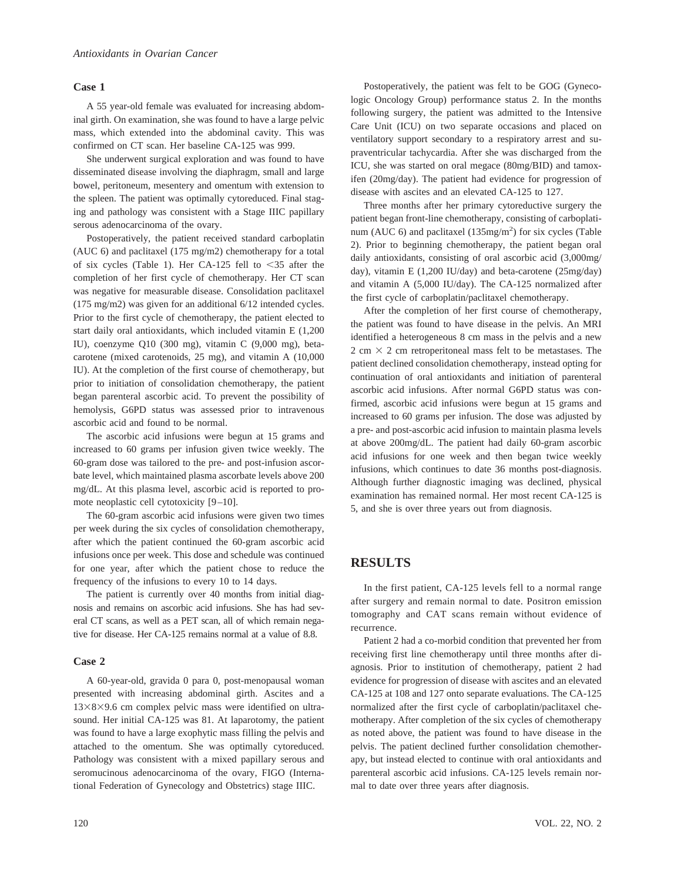#### **Case 1**

A 55 year-old female was evaluated for increasing abdominal girth. On examination, she was found to have a large pelvic mass, which extended into the abdominal cavity. This was confirmed on CT scan. Her baseline CA-125 was 999.

She underwent surgical exploration and was found to have disseminated disease involving the diaphragm, small and large bowel, peritoneum, mesentery and omentum with extension to the spleen. The patient was optimally cytoreduced. Final staging and pathology was consistent with a Stage IIIC papillary serous adenocarcinoma of the ovary.

Postoperatively, the patient received standard carboplatin (AUC 6) and paclitaxel (175 mg/m2) chemotherapy for a total of six cycles (Table 1). Her CA-125 fell to  $\leq$ 35 after the completion of her first cycle of chemotherapy. Her CT scan was negative for measurable disease. Consolidation paclitaxel (175 mg/m2) was given for an additional 6/12 intended cycles. Prior to the first cycle of chemotherapy, the patient elected to start daily oral antioxidants, which included vitamin E (1,200 IU), coenzyme Q10 (300 mg), vitamin C (9,000 mg), betacarotene (mixed carotenoids, 25 mg), and vitamin A (10,000 IU). At the completion of the first course of chemotherapy, but prior to initiation of consolidation chemotherapy, the patient began parenteral ascorbic acid. To prevent the possibility of hemolysis, G6PD status was assessed prior to intravenous ascorbic acid and found to be normal.

The ascorbic acid infusions were begun at 15 grams and increased to 60 grams per infusion given twice weekly. The 60-gram dose was tailored to the pre- and post-infusion ascorbate level, which maintained plasma ascorbate levels above 200 mg/dL. At this plasma level, ascorbic acid is reported to promote neoplastic cell cytotoxicity [9–10].

The 60-gram ascorbic acid infusions were given two times per week during the six cycles of consolidation chemotherapy, after which the patient continued the 60-gram ascorbic acid infusions once per week. This dose and schedule was continued for one year, after which the patient chose to reduce the frequency of the infusions to every 10 to 14 days.

The patient is currently over 40 months from initial diagnosis and remains on ascorbic acid infusions. She has had several CT scans, as well as a PET scan, all of which remain negative for disease. Her CA-125 remains normal at a value of 8.8.

### **Case 2**

A 60-year-old, gravida 0 para 0, post-menopausal woman presented with increasing abdominal girth. Ascites and a  $13\times8\times9.6$  cm complex pelvic mass were identified on ultrasound. Her initial CA-125 was 81. At laparotomy, the patient was found to have a large exophytic mass filling the pelvis and attached to the omentum. She was optimally cytoreduced. Pathology was consistent with a mixed papillary serous and seromucinous adenocarcinoma of the ovary, FIGO (International Federation of Gynecology and Obstetrics) stage IIIC.

Postoperatively, the patient was felt to be GOG (Gynecologic Oncology Group) performance status 2. In the months following surgery, the patient was admitted to the Intensive Care Unit (ICU) on two separate occasions and placed on ventilatory support secondary to a respiratory arrest and supraventricular tachycardia. After she was discharged from the ICU, she was started on oral megace (80mg/BID) and tamoxifen (20mg/day). The patient had evidence for progression of disease with ascites and an elevated CA-125 to 127.

Three months after her primary cytoreductive surgery the patient began front-line chemotherapy, consisting of carboplatinum (AUC 6) and paclitaxel  $(135mg/m^2)$  for six cycles (Table 2). Prior to beginning chemotherapy, the patient began oral daily antioxidants, consisting of oral ascorbic acid (3,000mg/ day), vitamin E (1,200 IU/day) and beta-carotene (25mg/day) and vitamin A (5,000 IU/day). The CA-125 normalized after the first cycle of carboplatin/paclitaxel chemotherapy.

After the completion of her first course of chemotherapy, the patient was found to have disease in the pelvis. An MRI identified a heterogeneous 8 cm mass in the pelvis and a new 2 cm  $\times$  2 cm retroperitoneal mass felt to be metastases. The patient declined consolidation chemotherapy, instead opting for continuation of oral antioxidants and initiation of parenteral ascorbic acid infusions. After normal G6PD status was confirmed, ascorbic acid infusions were begun at 15 grams and increased to 60 grams per infusion. The dose was adjusted by a pre- and post-ascorbic acid infusion to maintain plasma levels at above 200mg/dL. The patient had daily 60-gram ascorbic acid infusions for one week and then began twice weekly infusions, which continues to date 36 months post-diagnosis. Although further diagnostic imaging was declined, physical examination has remained normal. Her most recent CA-125 is 5, and she is over three years out from diagnosis.

# **RESULTS**

In the first patient, CA-125 levels fell to a normal range after surgery and remain normal to date. Positron emission tomography and CAT scans remain without evidence of recurrence.

Patient 2 had a co-morbid condition that prevented her from receiving first line chemotherapy until three months after diagnosis. Prior to institution of chemotherapy, patient 2 had evidence for progression of disease with ascites and an elevated CA-125 at 108 and 127 onto separate evaluations. The CA-125 normalized after the first cycle of carboplatin/paclitaxel chemotherapy. After completion of the six cycles of chemotherapy as noted above, the patient was found to have disease in the pelvis. The patient declined further consolidation chemotherapy, but instead elected to continue with oral antioxidants and parenteral ascorbic acid infusions. CA-125 levels remain normal to date over three years after diagnosis.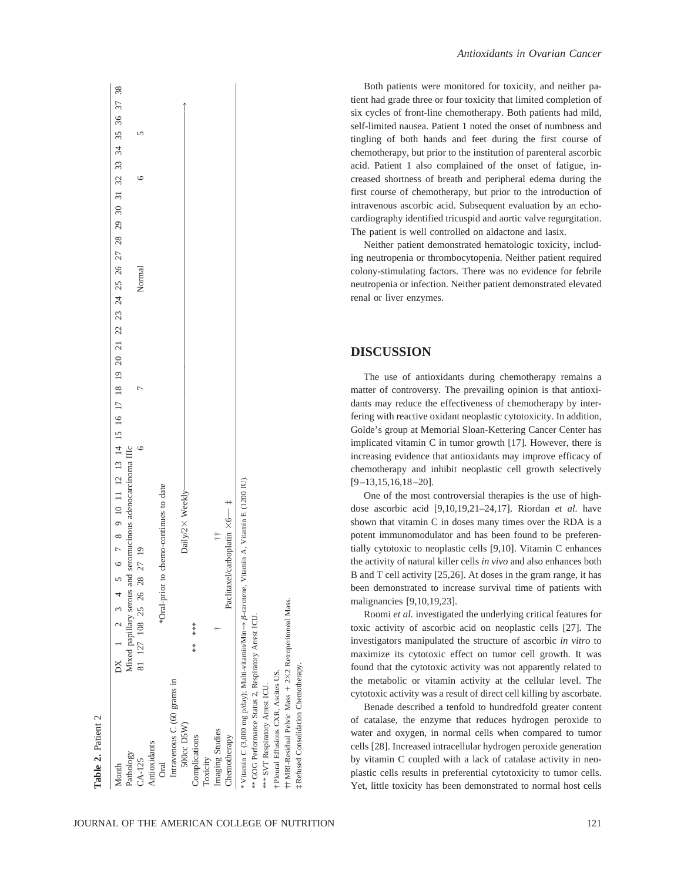| Month                                                   | DX 1 2 3 4 5                                                                                              | 6 7 8 9 10 11 12 13 14 15 16 17 18 19 20 21 22 23 24 25 26 27 28 29 30 31 32 33 34 35 36 37 38 |  |        |   |  |  |
|---------------------------------------------------------|-----------------------------------------------------------------------------------------------------------|------------------------------------------------------------------------------------------------|--|--------|---|--|--|
| Pathology                                               | Mixed papillary serous and                                                                                | seromucinous adenocarcinoma IIIc                                                               |  |        |   |  |  |
| $CA-125$                                                | 81 127 108 25 26 28 27 19                                                                                 |                                                                                                |  | Normal | c |  |  |
| Antioxidants                                            |                                                                                                           |                                                                                                |  |        |   |  |  |
| Oral                                                    |                                                                                                           | *Oral-prior to chemo-continues to date                                                         |  |        |   |  |  |
| Intravenous C (60 grams in                              |                                                                                                           |                                                                                                |  |        |   |  |  |
| 500cc D5W)                                              |                                                                                                           | Daily/2× Weekly                                                                                |  |        |   |  |  |
| Complications                                           | ***<br>$**$                                                                                               |                                                                                                |  |        |   |  |  |
| Toxicity                                                |                                                                                                           |                                                                                                |  |        |   |  |  |
| Imaging Studies                                         |                                                                                                           | $\ddot{+}$                                                                                     |  |        |   |  |  |
| Chemotherapy                                            | Paclitaxel                                                                                                | /carboplatin $\times 6$ $ \ddagger$                                                            |  |        |   |  |  |
|                                                         | * Vitamin C (3,000 mg p/day); Multi-vitamin/Min $\rightarrow$ β-carotene, Vitamin A, Vitamin E (1200 IU). |                                                                                                |  |        |   |  |  |
| ** GOG Performance Status 2, Respiratory Arrest ICU.    |                                                                                                           |                                                                                                |  |        |   |  |  |
| *** SVT Respiratory Arrest ICU.                         |                                                                                                           |                                                                                                |  |        |   |  |  |
| † Pleural Effusions CXR, Ascites US.                    |                                                                                                           |                                                                                                |  |        |   |  |  |
| ++ MRI-Residual Pelvic Mass + 2×2 Retroperitoneal Mass. |                                                                                                           |                                                                                                |  |        |   |  |  |
| <b>1 Refused Consolidation Chemotherapy.</b>            |                                                                                                           |                                                                                                |  |        |   |  |  |

Both patients were monitored for toxicity, and neither patient had grade three or four toxicity that limited completion of six cycles of front-line chemotherapy. Both patients had mild, self-limited nausea. Patient 1 noted the onset of numbness and tingling of both hands and feet during the first course of chemotherapy, but prior to the institution of parenteral ascorbic acid. Patient 1 also complained of the onset of fatigue, increased shortness of breath and peripheral edema during the first course of chemotherapy, but prior to the introduction of intravenous ascorbic acid. Subsequent evaluation by an echocardiography identified tricuspid and aortic valve regurgitation. The patient is well controlled on aldactone and lasix.

Neither patient demonstrated hematologic toxicity, including neutropenia or thrombocytopenia. Neither patient required colony-stimulating factors. There was no evidence for febrile neutropenia or infection. Neither patient demonstrated elevated renal or liver enzymes.

## **DISCUSSION**

The use of antioxidants during chemotherapy remains a matter of controversy. The prevailing opinion is that antioxidants may reduce the effectiveness of chemotherapy by interfering with reactive oxidant neoplastic cytotoxicity. In addition, Golde's group at Memorial Sloan-Kettering Cancer Center has implicated vitamin C in tumor growth [17]. However, there is increasing evidence that antioxidants may improve efficacy of chemotherapy and inhibit neoplastic cell growth selectively [9–13,15,16,18–20].

One of the most controversial therapies is the use of highdose ascorbic acid [9,10,19,21–24,17]. Riordan *et al.* have shown that vitamin C in doses many times over the RDA is a potent immunomodulator and has been found to be preferentially cytotoxic to neoplastic cells [9,10]. Vitamin C enhances the activity of natural killer cells *in vivo* and also enhances both B and T cell activity [25,26]. At doses in the gram range, it has been demonstrated to increase survival time of patients with malignancies [9,10,19,23].

Roomi *et al.* investigated the underlying critical features for toxic activity of ascorbic acid on neoplastic cells [27]. The investigators manipulated the structure of ascorbic *in vitro* to maximize its cytotoxic effect on tumor cell growth. It was found that the cytotoxic activity was not apparently related to the metabolic or vitamin activity at the cellular level. The cytotoxic activity was a result of direct cell killing by ascorbate.

Benade described a tenfold to hundredfold greater content of catalase, the enzyme that reduces hydrogen peroxide to water and oxygen, in normal cells when compared to tumor cells [28]. Increased intracellular hydrogen peroxide generation by vitamin C coupled with a lack of catalase activity in neoplastic cells results in preferential cytotoxicity to tumor cells. Yet, little toxicity has been demonstrated to normal host cells

‡

Refused Consolidation Chemotherapy.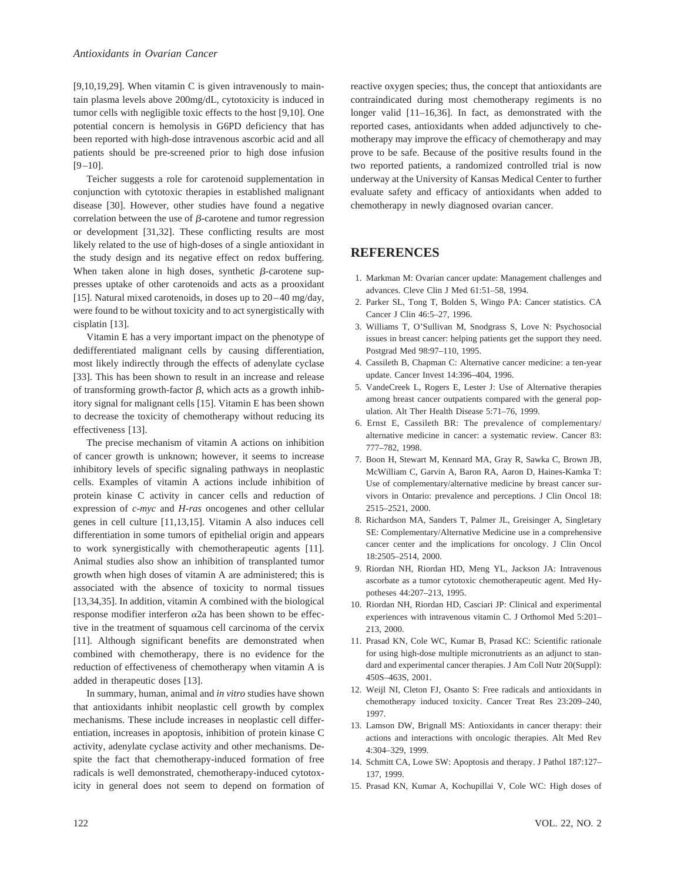[9,10,19,29]. When vitamin C is given intravenously to maintain plasma levels above 200mg/dL, cytotoxicity is induced in tumor cells with negligible toxic effects to the host [9,10]. One potential concern is hemolysis in G6PD deficiency that has been reported with high-dose intravenous ascorbic acid and all patients should be pre-screened prior to high dose infusion [9–10].

Teicher suggests a role for carotenoid supplementation in conjunction with cytotoxic therapies in established malignant disease [30]. However, other studies have found a negative correlation between the use of  $\beta$ -carotene and tumor regression or development [31,32]. These conflicting results are most likely related to the use of high-doses of a single antioxidant in the study design and its negative effect on redox buffering. When taken alone in high doses, synthetic  $\beta$ -carotene suppresses uptake of other carotenoids and acts as a prooxidant [15]. Natural mixed carotenoids, in doses up to 20–40 mg/day, were found to be without toxicity and to act synergistically with cisplatin [13].

Vitamin E has a very important impact on the phenotype of dedifferentiated malignant cells by causing differentiation, most likely indirectly through the effects of adenylate cyclase [33]. This has been shown to result in an increase and release of transforming growth-factor  $\beta$ , which acts as a growth inhibitory signal for malignant cells [15]. Vitamin E has been shown to decrease the toxicity of chemotherapy without reducing its effectiveness [13].

The precise mechanism of vitamin A actions on inhibition of cancer growth is unknown; however, it seems to increase inhibitory levels of specific signaling pathways in neoplastic cells. Examples of vitamin A actions include inhibition of protein kinase C activity in cancer cells and reduction of expression of *c-myc* and *H-ras* oncogenes and other cellular genes in cell culture [11,13,15]. Vitamin A also induces cell differentiation in some tumors of epithelial origin and appears to work synergistically with chemotherapeutic agents [11]. Animal studies also show an inhibition of transplanted tumor growth when high doses of vitamin A are administered; this is associated with the absence of toxicity to normal tissues [13,34,35]. In addition, vitamin A combined with the biological response modifier interferon  $\alpha$ 2a has been shown to be effective in the treatment of squamous cell carcinoma of the cervix [11]. Although significant benefits are demonstrated when combined with chemotherapy, there is no evidence for the reduction of effectiveness of chemotherapy when vitamin A is added in therapeutic doses [13].

In summary, human, animal and *in vitro* studies have shown that antioxidants inhibit neoplastic cell growth by complex mechanisms. These include increases in neoplastic cell differentiation, increases in apoptosis, inhibition of protein kinase C activity, adenylate cyclase activity and other mechanisms. Despite the fact that chemotherapy-induced formation of free radicals is well demonstrated, chemotherapy-induced cytotoxicity in general does not seem to depend on formation of reactive oxygen species; thus, the concept that antioxidants are contraindicated during most chemotherapy regiments is no longer valid [11–16,36]. In fact, as demonstrated with the reported cases, antioxidants when added adjunctively to chemotherapy may improve the efficacy of chemotherapy and may prove to be safe. Because of the positive results found in the two reported patients, a randomized controlled trial is now underway at the University of Kansas Medical Center to further evaluate safety and efficacy of antioxidants when added to chemotherapy in newly diagnosed ovarian cancer.

# **REFERENCES**

- 1. Markman M: Ovarian cancer update: Management challenges and advances. Cleve Clin J Med 61:51–58, 1994.
- 2. Parker SL, Tong T, Bolden S, Wingo PA: Cancer statistics. CA Cancer J Clin 46:5–27, 1996.
- 3. Williams T, O'Sullivan M, Snodgrass S, Love N: Psychosocial issues in breast cancer: helping patients get the support they need. Postgrad Med 98:97–110, 1995.
- 4. Cassileth B, Chapman C: Alternative cancer medicine: a ten-year update. Cancer Invest 14:396–404, 1996.
- 5. VandeCreek L, Rogers E, Lester J: Use of Alternative therapies among breast cancer outpatients compared with the general population. Alt Ther Health Disease 5:71–76, 1999.
- 6. Ernst E, Cassileth BR: The prevalence of complementary/ alternative medicine in cancer: a systematic review. Cancer 83: 777–782, 1998.
- 7. Boon H, Stewart M, Kennard MA, Gray R, Sawka C, Brown JB, McWilliam C, Garvin A, Baron RA, Aaron D, Haines-Kamka T: Use of complementary/alternative medicine by breast cancer survivors in Ontario: prevalence and perceptions. J Clin Oncol 18: 2515–2521, 2000.
- 8. Richardson MA, Sanders T, Palmer JL, Greisinger A, Singletary SE: Complementary/Alternative Medicine use in a comprehensive cancer center and the implications for oncology. J Clin Oncol 18:2505–2514, 2000.
- 9. Riordan NH, Riordan HD, Meng YL, Jackson JA: Intravenous ascorbate as a tumor cytotoxic chemotherapeutic agent. Med Hypotheses 44:207–213, 1995.
- 10. Riordan NH, Riordan HD, Casciari JP: Clinical and experimental experiences with intravenous vitamin C. J Orthomol Med 5:201– 213, 2000.
- 11. Prasad KN, Cole WC, Kumar B, Prasad KC: Scientific rationale for using high-dose multiple micronutrients as an adjunct to standard and experimental cancer therapies. J Am Coll Nutr 20(Suppl): 450S–463S, 2001.
- 12. Weijl NI, Cleton FJ, Osanto S: Free radicals and antioxidants in chemotherapy induced toxicity. Cancer Treat Res 23:209–240, 1997.
- 13. Lamson DW, Brignall MS: Antioxidants in cancer therapy: their actions and interactions with oncologic therapies. Alt Med Rev 4:304–329, 1999.
- 14. Schmitt CA, Lowe SW: Apoptosis and therapy. J Pathol 187:127– 137, 1999.
- 15. Prasad KN, Kumar A, Kochupillai V, Cole WC: High doses of